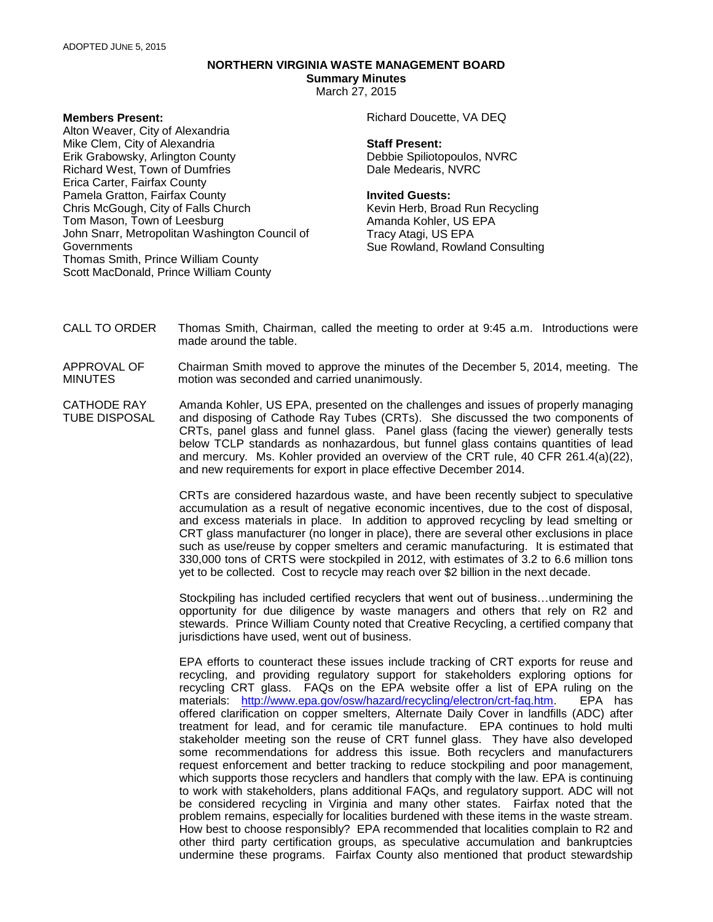# **NORTHERN VIRGINIA WASTE MANAGEMENT BOARD**

**Summary Minutes** March 27, 2015

### **Members Present:**

Alton Weaver, City of Alexandria Mike Clem, City of Alexandria Erik Grabowsky, Arlington County Richard West, Town of Dumfries Erica Carter, Fairfax County Pamela Gratton, Fairfax County Chris McGough, City of Falls Church Tom Mason, Town of Leesburg John Snarr, Metropolitan Washington Council of Governments Thomas Smith, Prince William County Scott MacDonald, Prince William County

## Richard Doucette, VA DEQ

#### **Staff Present:**

Debbie Spiliotopoulos, NVRC Dale Medearis, NVRC

#### **Invited Guests:**

Kevin Herb, Broad Run Recycling Amanda Kohler, US EPA Tracy Atagi, US EPA Sue Rowland, Rowland Consulting

- CALL TO ORDER Thomas Smith, Chairman, called the meeting to order at 9:45 a.m. Introductions were made around the table.
- APPROVAL OF MINUTES Chairman Smith moved to approve the minutes of the December 5, 2014, meeting. The motion was seconded and carried unanimously.
- CATHODE RAY TUBE DISPOSAL Amanda Kohler, US EPA, presented on the challenges and issues of properly managing and disposing of Cathode Ray Tubes (CRTs). She discussed the two components of CRTs, panel glass and funnel glass. Panel glass (facing the viewer) generally tests below TCLP standards as nonhazardous, but funnel glass contains quantities of lead and mercury. Ms. Kohler provided an overview of the CRT rule, 40 CFR 261.4(a)(22), and new requirements for export in place effective December 2014.

CRTs are considered hazardous waste, and have been recently subject to speculative accumulation as a result of negative economic incentives, due to the cost of disposal, and excess materials in place. In addition to approved recycling by lead smelting or CRT glass manufacturer (no longer in place), there are several other exclusions in place such as use/reuse by copper smelters and ceramic manufacturing. It is estimated that 330,000 tons of CRTS were stockpiled in 2012, with estimates of 3.2 to 6.6 million tons yet to be collected. Cost to recycle may reach over \$2 billion in the next decade.

Stockpiling has included certified recyclers that went out of business…undermining the opportunity for due diligence by waste managers and others that rely on R2 and stewards. Prince William County noted that Creative Recycling, a certified company that jurisdictions have used, went out of business.

EPA efforts to counteract these issues include tracking of CRT exports for reuse and recycling, and providing regulatory support for stakeholders exploring options for recycling CRT glass. FAQs on the EPA website offer a list of EPA ruling on the materials: [http://www.epa.gov/osw/hazard/recycling/electron/crt-faq.htm.](http://www.epa.gov/osw/hazard/recycling/electron/crt-faq.htm) EPA has offered clarification on copper smelters, Alternate Daily Cover in landfills (ADC) after treatment for lead, and for ceramic tile manufacture. EPA continues to hold multi stakeholder meeting son the reuse of CRT funnel glass. They have also developed some recommendations for address this issue. Both recyclers and manufacturers request enforcement and better tracking to reduce stockpiling and poor management, which supports those recyclers and handlers that comply with the law. EPA is continuing to work with stakeholders, plans additional FAQs, and regulatory support. ADC will not be considered recycling in Virginia and many other states. Fairfax noted that the problem remains, especially for localities burdened with these items in the waste stream. How best to choose responsibly? EPA recommended that localities complain to R2 and other third party certification groups, as speculative accumulation and bankruptcies undermine these programs. Fairfax County also mentioned that product stewardship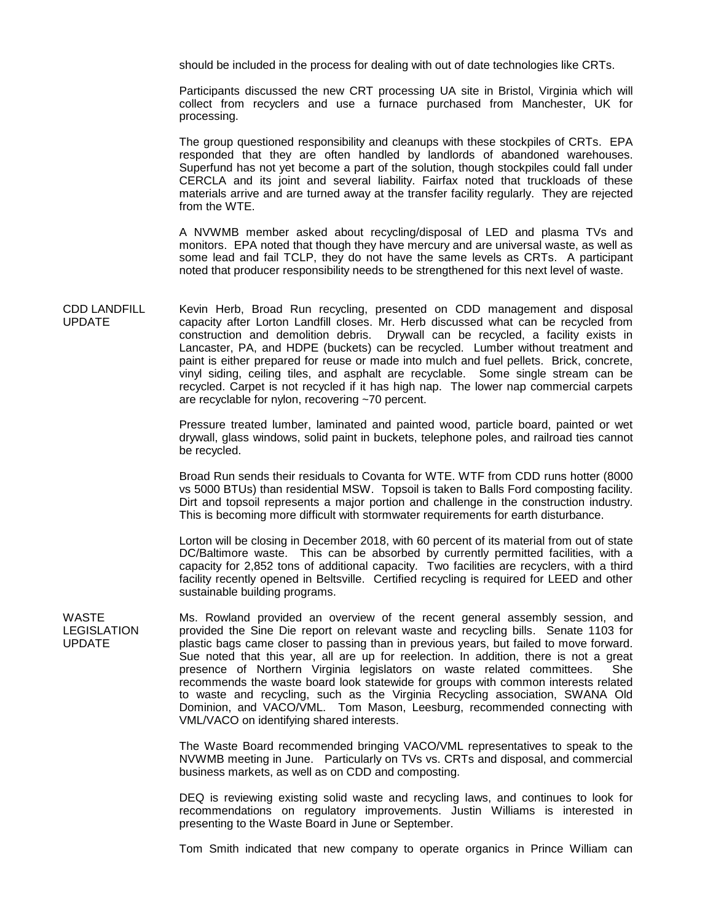should be included in the process for dealing with out of date technologies like CRTs.

Participants discussed the new CRT processing UA site in Bristol, Virginia which will collect from recyclers and use a furnace purchased from Manchester, UK for processing.

The group questioned responsibility and cleanups with these stockpiles of CRTs. EPA responded that they are often handled by landlords of abandoned warehouses. Superfund has not yet become a part of the solution, though stockpiles could fall under CERCLA and its joint and several liability. Fairfax noted that truckloads of these materials arrive and are turned away at the transfer facility regularly. They are rejected from the WTE.

A NVWMB member asked about recycling/disposal of LED and plasma TVs and monitors. EPA noted that though they have mercury and are universal waste, as well as some lead and fail TCLP, they do not have the same levels as CRTs. A participant noted that producer responsibility needs to be strengthened for this next level of waste.

CDD LANDFILL UPDATE Kevin Herb, Broad Run recycling, presented on CDD management and disposal capacity after Lorton Landfill closes. Mr. Herb discussed what can be recycled from construction and demolition debris. Drywall can be recycled, a facility exists in Lancaster, PA, and HDPE (buckets) can be recycled. Lumber without treatment and paint is either prepared for reuse or made into mulch and fuel pellets. Brick, concrete, vinyl siding, ceiling tiles, and asphalt are recyclable. Some single stream can be recycled. Carpet is not recycled if it has high nap. The lower nap commercial carpets are recyclable for nylon, recovering ~70 percent.

> Pressure treated lumber, laminated and painted wood, particle board, painted or wet drywall, glass windows, solid paint in buckets, telephone poles, and railroad ties cannot be recycled.

> Broad Run sends their residuals to Covanta for WTE. WTF from CDD runs hotter (8000 vs 5000 BTUs) than residential MSW. Topsoil is taken to Balls Ford composting facility. Dirt and topsoil represents a major portion and challenge in the construction industry. This is becoming more difficult with stormwater requirements for earth disturbance.

> Lorton will be closing in December 2018, with 60 percent of its material from out of state DC/Baltimore waste. This can be absorbed by currently permitted facilities, with a capacity for 2,852 tons of additional capacity. Two facilities are recyclers, with a third facility recently opened in Beltsville. Certified recycling is required for LEED and other sustainable building programs.

Ms. Rowland provided an overview of the recent general assembly session, and provided the Sine Die report on relevant waste and recycling bills. Senate 1103 for plastic bags came closer to passing than in previous years, but failed to move forward. Sue noted that this year, all are up for reelection. In addition, there is not a great presence of Northern Virginia legislators on waste related committees. She recommends the waste board look statewide for groups with common interests related to waste and recycling, such as the Virginia Recycling association, SWANA Old Dominion, and VACO/VML. Tom Mason, Leesburg, recommended connecting with VML/VACO on identifying shared interests.

> The Waste Board recommended bringing VACO/VML representatives to speak to the NVWMB meeting in June. Particularly on TVs vs. CRTs and disposal, and commercial business markets, as well as on CDD and composting.

> DEQ is reviewing existing solid waste and recycling laws, and continues to look for recommendations on regulatory improvements. Justin Williams is interested in presenting to the Waste Board in June or September.

> Tom Smith indicated that new company to operate organics in Prince William can

WASTE LEGISLATION UPDATE